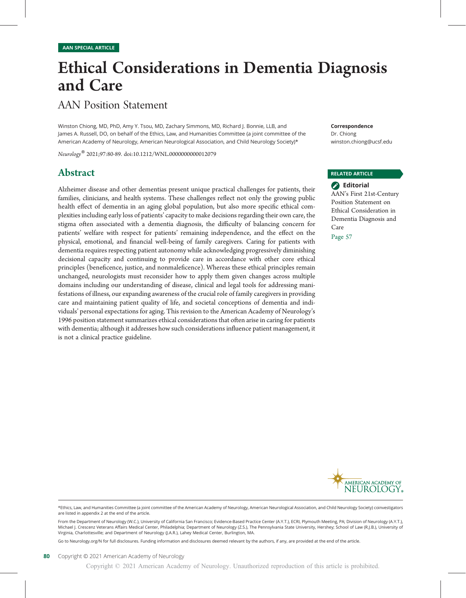# Ethical Considerations in Dementia Diagnosis and Care

# AAN Position Statement

Winston Chiong, MD, PhD, Amy Y. Tsou, MD, Zachary Simmons, MD, Richard J. Bonnie, LLB, and James A. Russell, DO, on behalf of the Ethics, Law, and Humanities Committee (a joint committee of the American Academy of Neurology, American Neurological Association, and Child Neurology Society)\*

Neurology® 2021;97:80-89. doi:10.1212/WNL.0000000000012079

### Abstract

Alzheimer disease and other dementias present unique practical challenges for patients, their families, clinicians, and health systems. These challenges reflect not only the growing public health effect of dementia in an aging global population, but also more specific ethical complexities including early loss of patients'capacity to make decisions regarding their own care, the stigma often associated with a dementia diagnosis, the difficulty of balancing concern for patients' welfare with respect for patients' remaining independence, and the effect on the physical, emotional, and financial well-being of family caregivers. Caring for patients with dementia requires respecting patient autonomy while acknowledging progressively diminishing decisional capacity and continuing to provide care in accordance with other core ethical principles (beneficence, justice, and nonmaleficence). Whereas these ethical principles remain unchanged, neurologists must reconsider how to apply them given changes across multiple domains including our understanding of disease, clinical and legal tools for addressing manifestations of illness, our expanding awareness of the crucial role of family caregivers in providing care and maintaining patient quality of life, and societal conceptions of dementia and individuals' personal expectations for aging. This revision to the American Academy of Neurology's 1996 position statement summarizes ethical considerations that often arise in caring for patients with dementia; although it addresses how such considerations influence patient management, it is not a clinical practice guideline.

Correspondence Dr. Chiong [winston.chiong@ucsf.edu](mailto:winston.chiong@ucsf.edu)

#### RELATED ARTICLE

**B** Editorial AAN's First 21st-Century Position Statement on Ethical Consideration in Dementia Diagnosis and Care

Page 57



\*Ethics, Law, and Humanities Committee (a joint committee of the American Academy of Neurology, American Neurological Association, and Child Neurology Society) coinvestigators are listed in appendix 2 at the end of the article.

From the Department of Neurology (W.C.), University of California San Francisco; Evidence-Based Practice Center (A.Y.T.), ECRI, Plymouth Meeting, PA; Division of Neurology (A.Y.T.), Michael J. Crescenz Veterans Affairs Medical Center, Philadelphia; Department of Neurology (Z.S.), The Pennsylvania State University, Hershey; School of Law (R.J.B.), University of Virginia, Charlottesville; and Department of Neurology (J.A.R.), Lahey Medical Center, Burlington, MA.

Go to [Neurology.org/N](https://n.neurology.org/lookup/doi/10.1212/WNL.0000000000012079) for full disclosures. Funding information and disclosures deemed relevant by the authors, if any, are provided at the end of the article.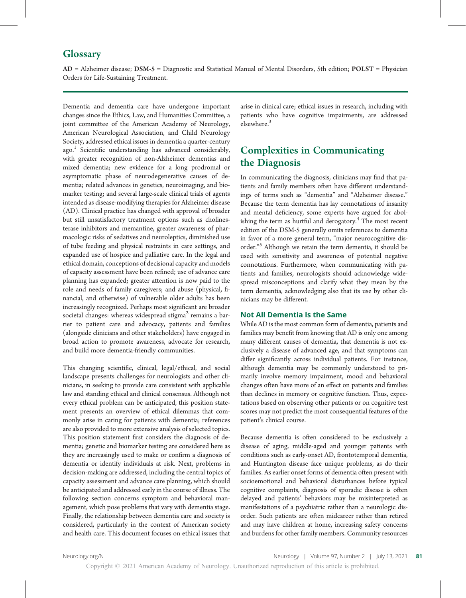### **Glossary**

AD = Alzheimer disease; DSM-5 = Diagnostic and Statistical Manual of Mental Disorders, 5th edition; POLST = Physician Orders for Life-Sustaining Treatment.

Dementia and dementia care have undergone important changes since the Ethics, Law, and Humanities Committee, a joint committee of the American Academy of Neurology, American Neurological Association, and Child Neurology Society, addressed ethical issues in dementia a quarter-century ago.<sup>1</sup> Scientific understanding has advanced considerably, with greater recognition of non-Alzheimer dementias and mixed dementia; new evidence for a long prodromal or asymptomatic phase of neurodegenerative causes of dementia; related advances in genetics, neuroimaging, and biomarker testing; and several large-scale clinical trials of agents intended as disease-modifying therapies for Alzheimer disease (AD). Clinical practice has changed with approval of broader but still unsatisfactory treatment options such as cholinesterase inhibitors and memantine, greater awareness of pharmacologic risks of sedatives and neuroleptics, diminished use of tube feeding and physical restraints in care settings, and expanded use of hospice and palliative care. In the legal and ethical domain, conceptions of decisional capacity and models of capacity assessment have been refined; use of advance care planning has expanded; greater attention is now paid to the role and needs of family caregivers; and abuse (physical, financial, and otherwise) of vulnerable older adults has been increasingly recognized. Perhaps most significant are broader societal changes: whereas widespread stigma<sup>2</sup> remains a barrier to patient care and advocacy, patients and families (alongside clinicians and other stakeholders) have engaged in broad action to promote awareness, advocate for research, and build more dementia-friendly communities.

This changing scientific, clinical, legal/ethical, and social landscape presents challenges for neurologists and other clinicians, in seeking to provide care consistent with applicable law and standing ethical and clinical consensus. Although not every ethical problem can be anticipated, this position statement presents an overview of ethical dilemmas that commonly arise in caring for patients with dementia; references are also provided to more extensive analysis of selected topics. This position statement first considers the diagnosis of dementia; genetic and biomarker testing are considered here as they are increasingly used to make or confirm a diagnosis of dementia or identify individuals at risk. Next, problems in decision-making are addressed, including the central topics of capacity assessment and advance care planning, which should be anticipated and addressed early in the course of illness. The following section concerns symptom and behavioral management, which pose problems that vary with dementia stage. Finally, the relationship between dementia care and society is considered, particularly in the context of American society and health care. This document focuses on ethical issues that

arise in clinical care; ethical issues in research, including with patients who have cognitive impairments, are addressed elsewhere.<sup>3</sup>

# Complexities in Communicating the Diagnosis

In communicating the diagnosis, clinicians may find that patients and family members often have different understandings of terms such as "dementia" and "Alzheimer disease." Because the term dementia has lay connotations of insanity and mental deficiency, some experts have argued for abolishing the term as hurtful and derogatory.<sup>4</sup> The most recent edition of the DSM-5 generally omits references to dementia in favor of a more general term, "major neurocognitive disorder." <sup>5</sup> Although we retain the term dementia, it should be used with sensitivity and awareness of potential negative connotations. Furthermore, when communicating with patients and families, neurologists should acknowledge widespread misconceptions and clarify what they mean by the term dementia, acknowledging also that its use by other clinicians may be different.

#### Not All Dementia Is the Same

While AD is the most common form of dementia, patients and families may benefit from knowing that AD is only one among many different causes of dementia, that dementia is not exclusively a disease of advanced age, and that symptoms can differ significantly across individual patients. For instance, although dementia may be commonly understood to primarily involve memory impairment, mood and behavioral changes often have more of an effect on patients and families than declines in memory or cognitive function. Thus, expectations based on observing other patients or on cognitive test scores may not predict the most consequential features of the patient's clinical course.

Because dementia is often considered to be exclusively a disease of aging, middle-aged and younger patients with conditions such as early-onset AD, frontotemporal dementia, and Huntington disease face unique problems, as do their families. As earlier onset forms of dementia often present with socioemotional and behavioral disturbances before typical cognitive complaints, diagnosis of sporadic disease is often delayed and patients' behaviors may be misinterpreted as manifestations of a psychiatric rather than a neurologic disorder. Such patients are often midcareer rather than retired and may have children at home, increasing safety concerns and burdens for other family members. Community resources

Copyright © 2021 American Academy of Neurology. Unauthorized reproduction of this article is prohibited.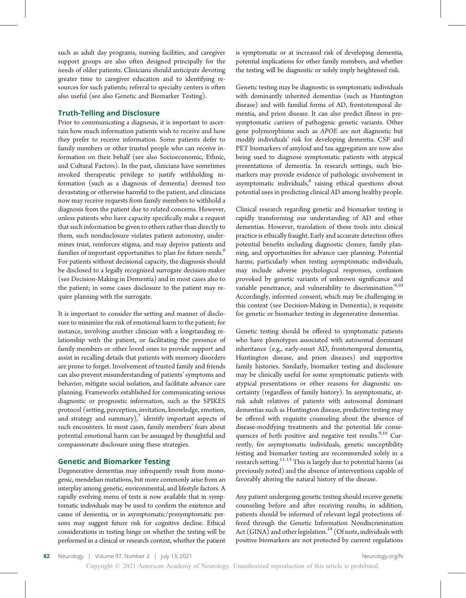such as adult day programs, nursing facilities, and caregiver support groups are also often designed principally for the needs of older patients. Clinicians should anticipate devoting greater time to caregiver education and to identifying resources for such patients; referral to specialty centers is often also useful (see also Genetic and Biomarker Testing).

#### Truth-Telling and Disclosure

Prior to communicating a diagnosis, it is important to ascertain how much information patients wish to receive and how they prefer to receive information. Some patients defer to family members or other trusted people who can receive information on their behalf (see also Socioeconomic, Ethnic, and Cultural Factors). In the past, clinicians have sometimes invoked therapeutic privilege to justify withholding information (such as a diagnosis of dementia) deemed too devastating or otherwise harmful to the patient, and clinicians now may receive requests from family members to withhold a diagnosis from the patient due to related concerns. However, unless patients who have capacity specifically make a request that such information be given to others rather than directly to them, such nondisclosure violates patient autonomy, undermines trust, reinforces stigma, and may deprive patients and families of important opportunities to plan for future needs.<sup>6</sup> For patients without decisional capacity, the diagnosis should be disclosed to a legally recognized surrogate decision-maker (see Decision-Making in Dementia) and in most cases also to the patient; in some cases disclosure to the patient may require planning with the surrogate.

It is important to consider the setting and manner of disclosure to minimize the risk of emotional harm to the patient; for instance, involving another clinician with a longstanding relationship with the patient, or facilitating the presence of family members or other loved ones to provide support and assist in recalling details that patients with memory disorders are prone to forget. Involvement of trusted family and friends can also prevent misunderstanding of patients' symptoms and behavior, mitigate social isolation, and facilitate advance care planning. Frameworks established for communicating serious diagnostic or prognostic information, such as the SPIKES protocol (setting, perception, invitation, knowledge, emotion, and strategy and summary), $\frac{7}{7}$  identify important aspects of such encounters. In most cases, family members' fears about potential emotional harm can be assuaged by thoughtful and compassionate disclosure using these strategies.

#### Genetic and Biomarker Testing

Degenerative dementias may infrequently result from monogenic, mendelian mutations, but more commonly arise from an interplay among genetic, environmental, and lifestyle factors. A rapidly evolving menu of tests is now available that in symptomatic individuals may be used to confirm the existence and cause of dementia, or in asymptomatic/presymptomatic persons may suggest future risk for cognitive decline. Ethical considerations in testing hinge on whether the testing will be performed in a clinical or research context, whether the patient

is symptomatic or at increased risk of developing dementia, potential implications for other family members, and whether the testing will be diagnostic or solely imply heightened risk.

Genetic testing may be diagnostic in symptomatic individuals with dominantly inherited dementias (such as Huntington disease) and with familial forms of AD, frontotemporal dementia, and prion disease. It can also predict illness in presymptomatic carriers of pathogenic genetic variants. Other gene polymorphisms such as APOE are not diagnostic but modify individuals' risk for developing dementia. CSF and PET biomarkers of amyloid and tau aggregation are now also being used to diagnose symptomatic patients with atypical presentations of dementia. In research settings, such biomarkers may provide evidence of pathologic involvement in asymptomatic individuals, $8$  raising ethical questions about potential uses in predicting clinical AD among healthy people.

Clinical research regarding genetic and biomarker testing is rapidly transforming our understanding of AD and other dementias. However, translation of these tools into clinical practice is ethically fraught. Early and accurate detection offers potential benefits including diagnostic closure, family planning, and opportunities for advance care planning. Potential harms, particularly when testing asymptomatic individuals, may include adverse psychological responses, confusion provoked by genetic variants of unknown significance and variable penetrance, and vulnerability to discrimination.<sup>9,10</sup> Accordingly, informed consent, which may be challenging in this context (see Decision-Making in Dementia), is requisite for genetic or biomarker testing in degenerative dementias.

Genetic testing should be offered to symptomatic patients who have phenotypes associated with autosomal dominant inheritance (e.g., early-onset AD, frontotemporal dementia, Huntington disease, and prion diseases) and supportive family histories. Similarly, biomarker testing and disclosure may be clinically useful for some symptomatic patients with atypical presentations or other reasons for diagnostic uncertainty (regardless of family history). In asymptomatic, atrisk adult relatives of patients with autosomal dominant dementias such as Huntington disease, predictive testing may be offered with requisite counseling about the absence of disease-modifying treatments and the potential life consequences of both positive and negative test results. $9,10$  Currently, for asymptomatic individuals, genetic susceptibility testing and biomarker testing are recommended solely in a research setting.<sup>11-13</sup> This is largely due to potential harms (as previously noted) and the absence of interventions capable of favorably altering the natural history of the disease.

Any patient undergoing genetic testing should receive genetic counseling before and after receiving results; in addition, patients should be informed of relevant legal protections offered through the Genetic Information Nondiscrimination Act (GINA) and other legislation.<sup>14</sup> (Of note, individuals with positive biomarkers are not protected by current regulations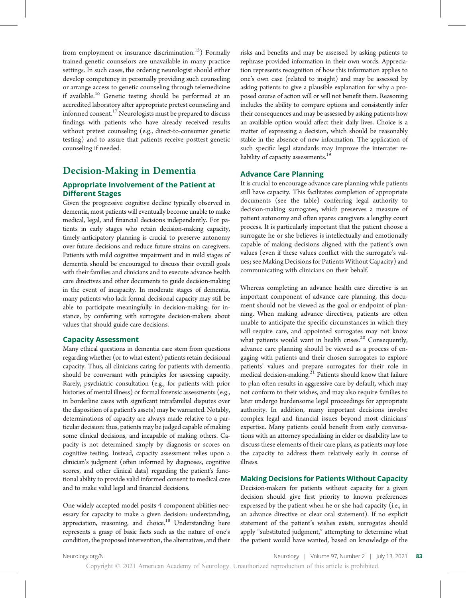from employment or insurance discrimination.<sup>15</sup>) Formally trained genetic counselors are unavailable in many practice settings. In such cases, the ordering neurologist should either develop competency in personally providing such counseling or arrange access to genetic counseling through telemedicine if available.<sup>16</sup> Genetic testing should be performed at an accredited laboratory after appropriate pretest counseling and informed consent.<sup>17</sup> Neurologists must be prepared to discuss findings with patients who have already received results without pretest counseling (e.g., direct-to-consumer genetic testing) and to assure that patients receive posttest genetic counseling if needed.

## Decision-Making in Dementia

#### Appropriate Involvement of the Patient at Different Stages

Given the progressive cognitive decline typically observed in dementia, most patients will eventually become unable to make medical, legal, and financial decisions independently. For patients in early stages who retain decision-making capacity, timely anticipatory planning is crucial to preserve autonomy over future decisions and reduce future strains on caregivers. Patients with mild cognitive impairment and in mild stages of dementia should be encouraged to discuss their overall goals with their families and clinicians and to execute advance health care directives and other documents to guide decision-making in the event of incapacity. In moderate stages of dementia, many patients who lack formal decisional capacity may still be able to participate meaningfully in decision-making; for instance, by conferring with surrogate decision-makers about values that should guide care decisions.

#### Capacity Assessment

Many ethical questions in dementia care stem from questions regarding whether (or to what extent) patients retain decisional capacity. Thus, all clinicians caring for patients with dementia should be conversant with principles for assessing capacity. Rarely, psychiatric consultation (e.g., for patients with prior histories of mental illness) or formal forensic assessments (e.g., in borderline cases with significant intrafamilial disputes over the disposition of a patient's assets) may be warranted. Notably, determinations of capacity are always made relative to a particular decision: thus, patients may be judged capable of making some clinical decisions, and incapable of making others. Capacity is not determined simply by diagnosis or scores on cognitive testing. Instead, capacity assessment relies upon a clinician's judgment (often informed by diagnoses, cognitive scores, and other clinical data) regarding the patient's functional ability to provide valid informed consent to medical care and to make valid legal and financial decisions.

One widely accepted model posits 4 component abilities necessary for capacity to make a given decision: understanding, appreciation, reasoning, and choice.<sup>18</sup> Understanding here represents a grasp of basic facts such as the nature of one's condition, the proposed intervention, the alternatives, and their risks and benefits and may be assessed by asking patients to rephrase provided information in their own words. Appreciation represents recognition of how this information applies to one's own case (related to insight) and may be assessed by asking patients to give a plausible explanation for why a proposed course of action will or will not benefit them. Reasoning includes the ability to compare options and consistently infer their consequences and may be assessed by asking patients how an available option would affect their daily lives. Choice is a matter of expressing a decision, which should be reasonably stable in the absence of new information. The application of such specific legal standards may improve the interrater reliability of capacity assessments.<sup>19</sup>

#### Advance Care Planning

It is crucial to encourage advance care planning while patients still have capacity. This facilitates completion of appropriate documents (see the table) conferring legal authority to decision-making surrogates, which preserves a measure of patient autonomy and often spares caregivers a lengthy court process. It is particularly important that the patient choose a surrogate he or she believes is intellectually and emotionally capable of making decisions aligned with the patient's own values (even if these values conflict with the surrogate's values; see Making Decisions for Patients Without Capacity) and communicating with clinicians on their behalf.

Whereas completing an advance health care directive is an important component of advance care planning, this document should not be viewed as the goal or endpoint of planning. When making advance directives, patients are often unable to anticipate the specific circumstances in which they will require care, and appointed surrogates may not know what patients would want in health crises. $20$  Consequently, advance care planning should be viewed as a process of engaging with patients and their chosen surrogates to explore patients' values and prepare surrogates for their role in medical decision-making. $21$  Patients should know that failure to plan often results in aggressive care by default, which may not conform to their wishes, and may also require families to later undergo burdensome legal proceedings for appropriate authority. In addition, many important decisions involve complex legal and financial issues beyond most clinicians' expertise. Many patients could benefit from early conversations with an attorney specializing in elder or disability law to discuss these elements of their care plans, as patients may lose the capacity to address them relatively early in course of illness.

#### Making Decisions for Patients Without Capacity

Decision-makers for patients without capacity for a given decision should give first priority to known preferences expressed by the patient when he or she had capacity (i.e., in an advance directive or clear oral statement). If no explicit statement of the patient's wishes exists, surrogates should apply "substituted judgment," attempting to determine what the patient would have wanted, based on knowledge of the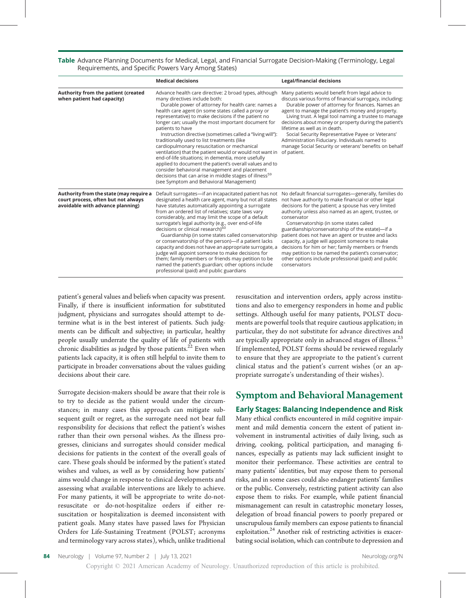Table Advance Planning Documents for Medical, Legal, and Financial Surrogate Decision-Making (Terminology, Legal Requirements, and Specific Powers Vary Among States)

|                                                                                                                    | <b>Medical decisions</b>                                                                                                                                                                                                                                                                                                                                                                                                                                                                                                                                                                                                                                                                                                                                                                                                                                                                                                                                                                                                                                                                                                                                                                                                                                                                                                                                                                                                       | Legal/financial decisions                                                                                                                                                                                                                                                                                                                                                                                                                                                                                                                                 |
|--------------------------------------------------------------------------------------------------------------------|--------------------------------------------------------------------------------------------------------------------------------------------------------------------------------------------------------------------------------------------------------------------------------------------------------------------------------------------------------------------------------------------------------------------------------------------------------------------------------------------------------------------------------------------------------------------------------------------------------------------------------------------------------------------------------------------------------------------------------------------------------------------------------------------------------------------------------------------------------------------------------------------------------------------------------------------------------------------------------------------------------------------------------------------------------------------------------------------------------------------------------------------------------------------------------------------------------------------------------------------------------------------------------------------------------------------------------------------------------------------------------------------------------------------------------|-----------------------------------------------------------------------------------------------------------------------------------------------------------------------------------------------------------------------------------------------------------------------------------------------------------------------------------------------------------------------------------------------------------------------------------------------------------------------------------------------------------------------------------------------------------|
| Authority from the patient (created<br>when patient had capacity)                                                  | Advance health care directive: 2 broad types, although<br>many directives include both:<br>Durable power of attorney for health care: names a<br>health care agent (in some states called a proxy or<br>representative) to make decisions if the patient no<br>longer can; usually the most important document for<br>patients to have<br>Instruction directive (sometimes called a "living will"):<br>traditionally used to list treatments (like<br>cardiopulmonary resuscitation or mechanical<br>ventilation) that the patient would or would not want in<br>end-of-life situations; in dementia, more usefully<br>applied to document the patient's overall values and to<br>consider behavioral management and placement<br>decisions that can arise in middle stages of illness <sup>59</sup><br>(see Symptom and Behavioral Management)                                                                                                                                                                                                                                                                                                                                                                                                                                                                                                                                                                                | Many patients would benefit from legal advice to<br>discuss various forms of financial surrogacy, including:<br>Durable power of attorney for finances. Names an<br>agent to manage the patient's money and property.<br>Living trust. A legal tool naming a trustee to manage<br>decisions about money or property during the patient's<br>lifetime as well as in death.<br>Social Security Representative Payee or Veterans'<br>Administration Fiduciary. Individuals named to<br>manage Social Security or veterans' benefits on behalf<br>of patient. |
| Authority from the state (may require a<br>court process, often but not always<br>avoidable with advance planning) | Default surrogates-if an incapacitated patient has not<br>No default financial surrogates-generally, families do<br>designated a health care agent, many but not all states<br>not have authority to make financial or other legal<br>decisions for the patient; a spouse has very limited<br>have statutes automatically appointing a surrogate<br>from an ordered list of relatives; state laws vary<br>authority unless also named as an agent, trustee, or<br>considerably, and may limit the scope of a default<br>conservator<br>surrogate's legal authority (e.g., over end-of-life<br>Conservatorship (in some states called<br>decisions or clinical research) <sup>60</sup><br>guardianship/conservatorship of the estate)-if a<br>patient does not have an agent or trustee and lacks<br>Guardianship (in some states called conservatorship<br>or conservatorship of the person)-if a patient lacks<br>capacity, a judge will appoint someone to make<br>decisions for him or her; family members or friends<br>capacity and does not have an appropriate surrogate, a<br>judge will appoint someone to make decisions for<br>may petition to be named the patient's conservator;<br>them; family members or friends may petition to be<br>other options include professional (paid) and public<br>named the patient's guardian; other options include<br>conservators<br>professional (paid) and public guardians |                                                                                                                                                                                                                                                                                                                                                                                                                                                                                                                                                           |

patient's general values and beliefs when capacity was present. Finally, if there is insufficient information for substituted judgment, physicians and surrogates should attempt to determine what is in the best interest of patients. Such judgments can be difficult and subjective; in particular, healthy people usually underrate the quality of life of patients with chronic disabilities as judged by those patients. $22$  Even when patients lack capacity, it is often still helpful to invite them to participate in broader conversations about the values guiding decisions about their care.

Surrogate decision-makers should be aware that their role is to try to decide as the patient would under the circumstances; in many cases this approach can mitigate subsequent guilt or regret, as the surrogate need not bear full responsibility for decisions that reflect the patient's wishes rather than their own personal wishes. As the illness progresses, clinicians and surrogates should consider medical decisions for patients in the context of the overall goals of care. These goals should be informed by the patient's stated wishes and values, as well as by considering how patients' aims would change in response to clinical developments and assessing what available interventions are likely to achieve. For many patients, it will be appropriate to write do-notresuscitate or do-not-hospitalize orders if either resuscitation or hospitalization is deemed inconsistent with patient goals. Many states have passed laws for Physician Orders for Life-Sustaining Treatment (POLST; acronyms and terminology vary across states), which, unlike traditional

resuscitation and intervention orders, apply across institutions and also to emergency responders in home and public settings. Although useful for many patients, POLST documents are powerful tools that require cautious application; in particular, they do not substitute for advance directives and are typically appropriate only in advanced stages of illness.<sup>23</sup> If implemented, POLST forms should be reviewed regularly to ensure that they are appropriate to the patient's current clinical status and the patient's current wishes (or an appropriate surrogate's understanding of their wishes).

### Symptom and Behavioral Management

#### Early Stages: Balancing Independence and Risk

Many ethical conflicts encountered in mild cognitive impairment and mild dementia concern the extent of patient involvement in instrumental activities of daily living, such as driving, cooking, political participation, and managing finances, especially as patients may lack sufficient insight to monitor their performance. These activities are central to many patients' identities, but may expose them to personal risks, and in some cases could also endanger patients' families or the public. Conversely, restricting patient activity can also expose them to risks. For example, while patient financial mismanagement can result in catastrophic monetary losses, delegation of broad financial powers to poorly prepared or unscrupulous family members can expose patients to financial exploitation.<sup>24</sup> Another risk of restricting activities is exacerbating social isolation, which can contribute to depression and

84 Neurology | Volume 97, Number 2 | |uly 13, 2021 [Neurology.org/N](http://neurology.org/n)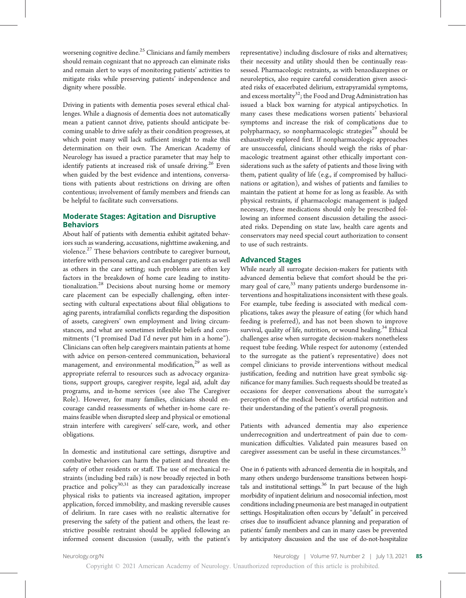worsening cognitive decline.<sup>25</sup> Clinicians and family members should remain cognizant that no approach can eliminate risks and remain alert to ways of monitoring patients' activities to mitigate risks while preserving patients' independence and dignity where possible.

Driving in patients with dementia poses several ethical challenges. While a diagnosis of dementia does not automatically mean a patient cannot drive, patients should anticipate becoming unable to drive safely as their condition progresses, at which point many will lack sufficient insight to make this determination on their own. The American Academy of Neurology has issued a practice parameter that may help to identify patients at increased risk of unsafe driving.<sup>26</sup> Even when guided by the best evidence and intentions, conversations with patients about restrictions on driving are often contentious; involvement of family members and friends can be helpful to facilitate such conversations.

#### Moderate Stages: Agitation and Disruptive Behaviors

About half of patients with dementia exhibit agitated behaviors such as wandering, accusations, nighttime awakening, and violence.<sup>27</sup> These behaviors contribute to caregiver burnout, interfere with personal care, and can endanger patients as well as others in the care setting; such problems are often key factors in the breakdown of home care leading to institutionalization.<sup>28</sup> Decisions about nursing home or memory care placement can be especially challenging, often intersecting with cultural expectations about filial obligations to aging parents, intrafamilial conflicts regarding the disposition of assets, caregivers' own employment and living circumstances, and what are sometimes inflexible beliefs and commitments ("I promised Dad I'd never put him in a home"). Clinicians can often help caregivers maintain patients at home with advice on person-centered communication, behavioral management, and environmental modification, $29$  as well as appropriate referral to resources such as advocacy organizations, support groups, caregiver respite, legal aid, adult day programs, and in-home services (see also The Caregiver Role). However, for many families, clinicians should encourage candid reassessments of whether in-home care remains feasible when disrupted sleep and physical or emotional strain interfere with caregivers' self-care, work, and other obligations.

In domestic and institutional care settings, disruptive and combative behaviors can harm the patient and threaten the safety of other residents or staff. The use of mechanical restraints (including bed rails) is now broadly rejected in both practice and policy $30,31$  as they can paradoxically increase physical risks to patients via increased agitation, improper application, forced immobility, and masking reversible causes of delirium. In rare cases with no realistic alternative for preserving the safety of the patient and others, the least restrictive possible restraint should be applied following an informed consent discussion (usually, with the patient's representative) including disclosure of risks and alternatives; their necessity and utility should then be continually reassessed. Pharmacologic restraints, as with benzodiazepines or neuroleptics, also require careful consideration given associated risks of exacerbated delirium, extrapyramidal symptoms, and excess mortality<sup>32</sup>; the Food and Drug Administration has issued a black box warning for atypical antipsychotics. In many cases these medications worsen patients' behavioral symptoms and increase the risk of complications due to polypharmacy, so nonpharmacologic strategies<sup>29</sup> should be exhaustively explored first. If nonpharmacologic approaches are unsuccessful, clinicians should weigh the risks of pharmacologic treatment against other ethically important considerations such as the safety of patients and those living with them, patient quality of life (e.g., if compromised by hallucinations or agitation), and wishes of patients and families to maintain the patient at home for as long as feasible. As with physical restraints, if pharmacologic management is judged necessary, these medications should only be prescribed following an informed consent discussion detailing the associated risks. Depending on state law, health care agents and conservators may need special court authorization to consent to use of such restraints.

#### Advanced Stages

While nearly all surrogate decision-makers for patients with advanced dementia believe that comfort should be the primary goal of care, $33$  many patients undergo burdensome interventions and hospitalizations inconsistent with these goals. For example, tube feeding is associated with medical complications, takes away the pleasure of eating (for which hand feeding is preferred), and has not been shown to improve survival, quality of life, nutrition, or wound healing.<sup>34</sup> Ethical challenges arise when surrogate decision-makers nonetheless request tube feeding. While respect for autonomy (extended to the surrogate as the patient's representative) does not compel clinicians to provide interventions without medical justification, feeding and nutrition have great symbolic significance for many families. Such requests should be treated as occasions for deeper conversations about the surrogate's perception of the medical benefits of artificial nutrition and their understanding of the patient's overall prognosis.

Patients with advanced dementia may also experience underrecognition and undertreatment of pain due to communication difficulties. Validated pain measures based on caregiver assessment can be useful in these circumstances.<sup>35</sup>

One in 6 patients with advanced dementia die in hospitals, and many others undergo burdensome transitions between hospitals and institutional settings. $36$  In part because of the high morbidity of inpatient delirium and nosocomial infection, most conditions including pneumonia are best managed in outpatient settings. Hospitalization often occurs by "default" in perceived crises due to insufficient advance planning and preparation of patients' family members and can in many cases be prevented by anticipatory discussion and the use of do-not-hospitalize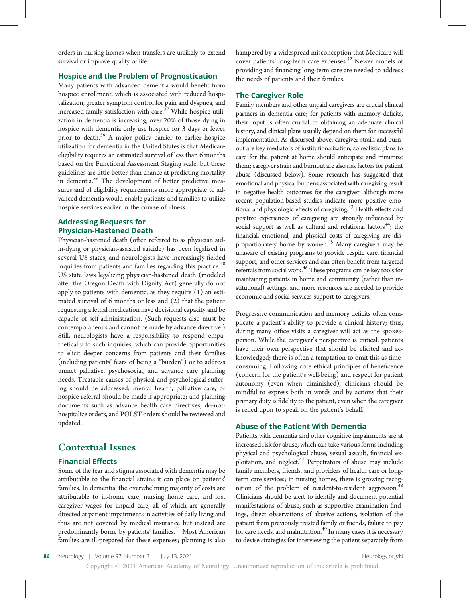orders in nursing homes when transfers are unlikely to extend survival or improve quality of life.

#### Hospice and the Problem of Prognostication

Many patients with advanced dementia would benefit from hospice enrollment, which is associated with reduced hospitalization, greater symptom control for pain and dyspnea, and increased family satisfaction with care.<sup>37</sup> While hospice utilization in dementia is increasing, over 20% of those dying in hospice with dementia only use hospice for 3 days or fewer prior to death.<sup>38</sup> A major policy barrier to earlier hospice utilization for dementia in the United States is that Medicare eligibility requires an estimated survival of less than 6 months based on the Functional Assessment Staging scale, but these guidelines are little better than chance at predicting mortality in dementia.<sup>39</sup> The development of better predictive measures and of eligibility requirements more appropriate to advanced dementia would enable patients and families to utilize hospice services earlier in the course of illness.

#### Addressing Requests for Physician-Hastened Death

Physician-hastened death (often referred to as physician aidin-dying or physician-assisted suicide) has been legalized in several US states, and neurologists have increasingly fielded inquiries from patients and families regarding this practice.<sup>40</sup> US state laws legalizing physician-hastened death (modeled after the Oregon Death with Dignity Act) generally do not apply to patients with dementia, as they require (1) an estimated survival of 6 months or less and (2) that the patient requesting a lethal medication have decisional capacity and be capable of self-administration. (Such requests also must be contemporaneous and cannot be made by advance directive.) Still, neurologists have a responsibility to respond empathetically to such inquiries, which can provide opportunities to elicit deeper concerns from patients and their families (including patients' fears of being a "burden") or to address unmet palliative, psychosocial, and advance care planning needs. Treatable causes of physical and psychological suffering should be addressed; mental health, palliative care, or hospice referral should be made if appropriate; and planning documents such as advance health care directives, do-nothospitalize orders, and POLST orders should be reviewed and updated.

### Contextual Issues

#### Financial Effects

Some of the fear and stigma associated with dementia may be attributable to the financial strains it can place on patients' families. In dementia, the overwhelming majority of costs are attributable to in-home care, nursing home care, and lost caregiver wages for unpaid care, all of which are generally directed at patient impairments in activities of daily living and thus are not covered by medical insurance but instead are predominantly borne by patients' families.<sup>41</sup> Most American families are ill-prepared for these expenses; planning is also

hampered by a widespread misconception that Medicare will cover patients' long-term care expenses.<sup>42</sup> Newer models of providing and financing long-term care are needed to address the needs of patients and their families.

#### The Caregiver Role

Family members and other unpaid caregivers are crucial clinical partners in dementia care; for patients with memory deficits, their input is often crucial to obtaining an adequate clinical history, and clinical plans usually depend on them for successful implementation. As discussed above, caregiver strain and burnout are key mediators of institutionalization, so realistic plans to care for the patient at home should anticipate and minimize them; caregiver strain and burnout are also risk factors for patient abuse (discussed below). Some research has suggested that emotional and physical burdens associated with caregiving result in negative health outcomes for the caregiver, although more recent population-based studies indicate more positive emotional and physiologic effects of caregiving.<sup>43</sup> Health effects and positive experiences of caregiving are strongly influenced by social support as well as cultural and relational factors<sup>44</sup>; the financial, emotional, and physical costs of caregiving are disproportionately borne by women.<sup>45</sup> Many caregivers may be unaware of existing programs to provide respite care, financial support, and other services and can often benefit from targeted referrals from social work.<sup>46</sup> These programs can be key tools for maintaining patients in home and community (rather than institutional) settings, and more resources are needed to provide economic and social services support to caregivers.

Progressive communication and memory deficits often complicate a patient's ability to provide a clinical history; thus, during many office visits a caregiver will act as the spokesperson. While the caregiver's perspective is critical, patients have their own perspective that should be elicited and acknowledged; there is often a temptation to omit this as timeconsuming. Following core ethical principles of beneficence (concern for the patient's well-being) and respect for patient autonomy (even when diminished), clinicians should be mindful to express both in words and by actions that their primary duty is fidelity to the patient, even when the caregiver is relied upon to speak on the patient's behalf.

#### Abuse of the Patient With Dementia

Patients with dementia and other cognitive impairments are at increased risk for abuse, which can take various forms including physical and psychological abuse, sexual assault, financial exploitation, and neglect. $47$  Perpetrators of abuse may include family members, friends, and providers of health care or longterm care services; in nursing homes, there is growing recognition of the problem of resident-to-resident aggression.<sup>4</sup> Clinicians should be alert to identify and document potential manifestations of abuse, such as supportive examination findings, direct observations of abusive actions, isolation of the patient from previously trusted family or friends, failure to pay for care needs, and malnutrition. $49$  In many cases it is necessary to devise strategies for interviewing the patient separately from

86 Neurology | Volume 97, Number 2 | July 13, 2021 [Neurology.org/N](http://neurology.org/n) Neurology.org/N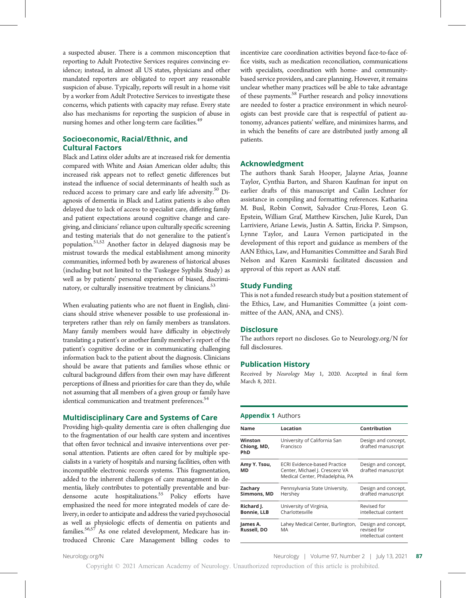a suspected abuser. There is a common misconception that reporting to Adult Protective Services requires convincing evidence; instead, in almost all US states, physicians and other mandated reporters are obligated to report any reasonable suspicion of abuse. Typically, reports will result in a home visit by a worker from Adult Protective Services to investigate these concerns, which patients with capacity may refuse. Every state also has mechanisms for reporting the suspicion of abuse in nursing homes and other long-term care facilities.<sup>49</sup>

#### Socioeconomic, Racial/Ethnic, and Cultural Factors

Black and Latinx older adults are at increased risk for dementia compared with White and Asian American older adults; this increased risk appears not to reflect genetic differences but instead the influence of social determinants of health such as reduced access to primary care and early life adversity.<sup>50</sup> Diagnosis of dementia in Black and Latinx patients is also often delayed due to lack of access to specialist care, differing family and patient expectations around cognitive change and caregiving, and clinicians' reliance upon culturally specific screening and testing materials that do not generalize to the patient's population.51,52 Another factor in delayed diagnosis may be mistrust towards the medical establishment among minority communities, informed both by awareness of historical abuses (including but not limited to the Tuskegee Syphilis Study) as well as by patients' personal experiences of biased, discriminatory, or culturally insensitive treatment by clinicians.<sup>53</sup>

When evaluating patients who are not fluent in English, clinicians should strive whenever possible to use professional interpreters rather than rely on family members as translators. Many family members would have difficulty in objectively translating a patient's or another family member's report of the patient's cognitive decline or in communicating challenging information back to the patient about the diagnosis. Clinicians should be aware that patients and families whose ethnic or cultural background differs from their own may have different perceptions of illness and priorities for care than they do, while not assuming that all members of a given group or family have identical communication and treatment preferences.<sup>54</sup>

#### Multidisciplinary Care and Systems of Care

Providing high-quality dementia care is often challenging due to the fragmentation of our health care system and incentives that often favor technical and invasive interventions over personal attention. Patients are often cared for by multiple specialists in a variety of hospitals and nursing facilities, often with incompatible electronic records systems. This fragmentation, added to the inherent challenges of care management in dementia, likely contributes to potentially preventable and burdensome acute hospitalizations.<sup>55</sup> Policy efforts have emphasized the need for more integrated models of care delivery, in order to anticipate and address the varied psychosocial as well as physiologic effects of dementia on patients and families.<sup>56,57</sup> As one related development, Medicare has introduced Chronic Care Management billing codes to

incentivize care coordination activities beyond face-to-face office visits, such as medication reconciliation, communications with specialists, coordination with home- and communitybased service providers, and care planning. However, it remains unclear whether many practices will be able to take advantage of these payments.<sup>58</sup> Further research and policy innovations are needed to foster a practice environment in which neurologists can best provide care that is respectful of patient autonomy, advances patients' welfare, and minimizes harms, and in which the benefits of care are distributed justly among all patients.

#### Acknowledgment

The authors thank Sarah Hooper, Jalayne Arias, Joanne Taylor, Cynthia Barton, and Sharon Kaufman for input on earlier drafts of this manuscript and Cailin Lechner for assistance in compiling and formatting references. Katharina M. Busl, Robin Conwit, Salvador Cruz-Flores, Leon G. Epstein, William Graf, Matthew Kirschen, Julie Kurek, Dan Larriviere, Ariane Lewis, Justin A. Sattin, Ericka P. Simpson, Lynne Taylor, and Laura Vernon participated in the development of this report and guidance as members of the AAN Ethics, Law, and Humanities Committee and Sarah Bird Nelson and Karen Kasmirski facilitated discussion and approval of this report as AAN staff.

#### Study Funding

This is not a funded research study but a position statement of the Ethics, Law, and Humanities Committee (a joint committee of the AAN, ANA, and CNS).

#### **Disclosure**

The authors report no discloses. Go to [Neurology.org/N](https://n.neurology.org/lookup/doi/10.1212/WNL.0000000000012079) for full disclosures.

#### Publication History

Received by Neurology May 1, 2020. Accepted in final form March 8, 2021.

#### Appendix 1 Authors

| Name                             | Location                                                                                                  | Contribution                                               |
|----------------------------------|-----------------------------------------------------------------------------------------------------------|------------------------------------------------------------|
| Winston<br>Chiong, MD,<br>PhD    | University of California San<br>Francisco                                                                 | Design and concept,<br>drafted manuscript                  |
| Amy Y. Tsou,<br>МD               | <b>ECRI Evidence-based Practice</b><br>Center, Michael J. Crescenz VA<br>Medical Center, Philadelphia, PA | Design and concept,<br>drafted manuscript                  |
| Zacharv<br>Simmons, MD           | Pennsylvania State University,<br>Hershey                                                                 | Design and concept,<br>drafted manuscript                  |
| Richard J.<br><b>Bonnie, LLB</b> | University of Virginia,<br>Charlottesville                                                                | Revised for<br>intellectual content                        |
| James A.<br>Russell, DO          | Lahey Medical Center, Burlington,<br>MA                                                                   | Design and concept,<br>revised for<br>intellectual content |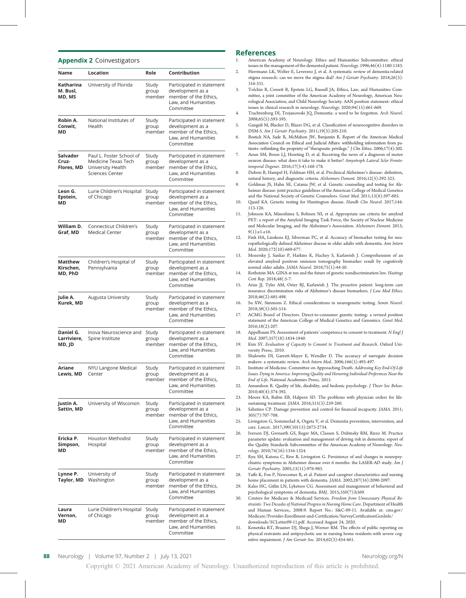|                                    | <b>Appenuix 2</b> CONTVESURALUIS                                                               |                          |                                                                                                                   |
|------------------------------------|------------------------------------------------------------------------------------------------|--------------------------|-------------------------------------------------------------------------------------------------------------------|
| Name                               | <b>Location</b>                                                                                | Role                     | Contribution                                                                                                      |
| Katharina<br>M. Busl,<br>MD, MS    | University of Florida                                                                          | Study<br>group<br>member | Participated in statement<br>development as a<br>member of the Ethics,<br>Law, and Humanities<br>Committee        |
| Robin A.<br>Conwit,<br>МD          | National Institutes of<br>Health                                                               | Study<br>group<br>member | Participated in statement<br>development as a<br>member of the Ethics,<br>Law, and Humanities<br>Committee        |
| Salvador<br>Cruz-<br>Flores, MD    | Paul L. Foster School of<br>Medicine Texas Tech<br>University Health<br><b>Sciences Center</b> | Study<br>group<br>member | Participated in statement<br>development as a<br>member of the Ethics,<br>Law, and Humanities<br>Committee        |
| Leon G.<br>Epstein,<br>MD          | Lurie Children's Hospital<br>of Chicago                                                        | Study<br>group<br>member | Participated in statement<br>development as a<br>member of the Ethics,<br>Law, and Humanities<br>Committee        |
| William D.<br>Graf, MD             | <b>Connecticut Children's</b><br><b>Medical Center</b>                                         | Study<br>group<br>member | Participated in statement<br>development as a<br>member of the Ethics,<br>Law, and Humanities<br>Committee        |
| Matthew<br>Kirschen,<br>MD, PhD    | Children's Hospital of<br>Pennsylvania                                                         | Study<br>group<br>member | Participated in statement<br>development as a<br>member of the Ethics,<br>Law, and Humanities<br>Committee        |
| Julie A.<br>Kurek, MD              | Augusta University                                                                             | Study<br>group<br>member | Participated in statement<br>development as a<br>member of the Ethics,<br>Law, and Humanities<br>Committee        |
| Daniel G.<br>Larriviere,<br>MD, JD | Inova Neuroscience and<br>Spine Institute                                                      | Study<br>group<br>member | Participated in statement<br>development as a<br>member of the Ethics,<br>Law, and Humanities<br>Committee        |
| Ariane<br>Lewis, MD                | NYU Langone Medical<br>Center                                                                  | Study<br>group           | Participated in statement<br>development as a<br>member member of the Ethics,<br>Law, and Humanities<br>Committee |
| Justin A.<br>Sattin, MD            | University of Wisconsin                                                                        | Study<br>group<br>member | Participated in statement<br>development as a<br>member of the Ethics,<br>Law, and Humanities<br>Committee        |
| Ericka P.<br>Simpson,<br>МD        | Houston Methodist<br>Hospital                                                                  | Study<br>group<br>member | Participated in statement<br>development as a<br>member of the Ethics,<br>Law, and Humanities<br>Committee        |
| Lynne P.<br>Taylor, MD             | University of<br>Washington                                                                    | Study<br>group<br>member | Participated in statement<br>development as a<br>member of the Ethics,<br>Law, and Humanities<br>Committee        |
| Laura<br>Vernon,<br>МD             | Lurie Children's Hospital<br>of Chicago                                                        | Study<br>group<br>member | Participated in statement<br>development as a<br>member of the Ethics,<br>Law, and Humanities<br>Committee        |

Appendix 2 Coinvestigators

#### References

- American Academy of Neurology. Ethics and Humanities Subcommittee: ethical issues in the management of the demented patient. Neurology. 1996;46(4):1180-1183.
- 2. Herrmann LK, Welter E, Leverenz J, et al. A systematic review of dementia-related stigma research: can we move the stigma dial? Am J Geriatr Psychiatry. 2018;26(3): 316-331.
- 3. Tolchin B, Conwit R, Epstein LG, Russell JA; Ethics, Law, and Humanities Committee, a joint committee of the American Academy of Neurology, American Neurological Association, and Child Neurology Society. AAN position statement: ethical issues in clinical research in neurology. Neurology. 2020;94(15):661-669.
- 4. Trachtenberg DI, Trojanowski JQ. Dementia: a word to be forgotten. Arch Neurol. 2008;65(5):593-595.
- 5. Ganguli M, Blacker D, Blazer DG, et al. Classification of neurocognitive disorders in DSM-5. Am J Geriatr Psychiatry. 2011;19(3):205-210.
- 6. Bostick NA, Sade R, McMahon JW, Benjamin R. Report of the American Medical Association Council on Ethical and Judicial Affairs: withholding information from patients: rethinking the propriety of "therapeutic privilege." J Clin Ethics. 2006;17(4):302.
- 7. Aoun SM, Breen LJ, Howting D, et al. Receiving the news of a diagnosis of motor neuron disease: what does it take to make it better? Amyotroph Lateral Scler Frontotemporal Degener. 2016;17(3-4):168-178.
- 8. Dubois B, Hampel H, Feldman HH, et al. Preclinical Alzheimer's disease: definition, natural history, and diagnostic criteria. Alzheimers Dement. 2016;12(3):292-323.
- Goldman JS, Hahn SE, Catania JW, et al. Genetic counseling and testing for Alzheimer disease: joint practice guidelines of the American College of Medical Genetics and the National Society of Genetic Counselors. Genet Med. 2011;13(6):597-605.
- 10. Quaid KA. Genetic testing for Huntington disease. Handb Clin Neurol. 2017;144: 113-126.
- 11. Johnson KA, Minoshima S, Bohnen NI, et al. Appropriate use criteria for amyloid PET: a report of the Amyloid Imaging Task Force, the Society of Nuclear Medicine and Molecular Imaging, and the Alzheimer's Association. Alzheimers Dement. 2013; 9(1):e1-e16.
- 12. Fink HA, Linskens EJ, Silverman PC, et al. Accuracy of biomarker testing for neuropathologically defined Alzheimer disease in older adults with dementia. Ann Intern Med. 2020;172(10):669-677.
- 13. Mozersky J, Sankar P, Harkins K, Hachey S, Karlawish J. Comprehension of an elevated amyloid positron emission tomography biomarker result by cognitively normal older adults. JAMA Neurol. 2018;75(1):44-50.
- 14. Rothstein MA. GINA at ten and the future of genetic nondiscrimination law. Hastings Cent Rep. 2018;48(:5-7.
- 15. Arias JJ, Tyler AM, Oster BJ, Karlawish J. The proactive patient: long-term care insurance discrimination risks of Alzheimer's disease biomarkers. J Law Med Ethics. 2018;46(2):485-498.
- 16. Su XW, Simmons Z. Ethical considerations in neurogenetic testing. Semin Neurol. 2018;38(5):505-514.
- 17. ACMG Board of Directors. Direct-to-consumer genetic testing: a revised position statement of the American College of Medical Genetics and Genomics. Genet Med. 2016;18(2):207.
- 18. Appelbaum PS. Assessment of patients' competence to consent to treatment. N Engl J Med. 2007;357(18):1834-1840.
- 19. Kim SY. Evaluation of Capacity to Consent to Treatment and Research. Oxford University Press;. 2010.
- 20. Shalowitz DI, Garrett-Mayer E, Wendler D. The accuracy of surrogate decision makers: a systematic review. Arch Intern Med.. 2006;166(5):493-497.
- 21. Institute of Medicine. Committee on Approaching Death. Addressing Key End-Of-Life Issues. Dying in America: Improving Quality and Honoring Individual Preferences Near the End of Life. National Academies Press;. 2015.
- 22. Amundson R. Quality of life, disability, and hedonic psychology. J Theor Soc Behav. 2010;40(4):374-392.
- 23. Moore KA, Rubin EB, Halpern SD. The problems with physician orders for lifesustaining treatment. JAMA. 2016;315(3):259-260.
- 24. Sabatino CP. Damage prevention and control for financial incapacity. JAMA. 2011; 305(7):707-708.
- 25. Livingston G, Sommerlad A, Orgeta V, et al. Dementia prevention, intervention, and care. Lancet.. 2017;390(10113):2673-2734.
- 26. Iverson DJ, Gronseth GS, Reger MA, Classen S, Dubinsky RM, Rizzo M. Practice parameter update: evaluation and management of driving risk in dementia: report of the Quality Standards Subcommittee of the American Academy of Neurology. Neurology. 2010;74(16):1316-1324.
- 27. Ryu SH, Katona C, Rive B, Livingston G. Persistence of and changes in neuropsychiatric symptoms in Alzheimer disease over 6 months: the LASER-AD study. Am J Geriatr Psychiatry. 2005;13(11):976-983.
- 28. Yaffe K, Fox P, Newcomer R, et al. Patient and caregiver characteristics and nursing home placement in patients with dementia. JAMA. 2002;287(16):2090-2097.
- 29. Kales HC, Gitlin LN, Lyketsos CG. Assessment and management of behavioral and psychological symptoms of dementia. BMJ.. 2015;350(7):h369.
- 30. Centers for Medicare & Medicaid Services. Freedom from Unnecessary Physical Restraints: Two Decades of National Progress in Nursing Home Care. Department of Health and Human Services;. 2008:9. Report No.: S&C-09-11. Available at: [cms.gov/](https://www.cms.gov/Medicare/Provider-Enrollment-and-Certification/SurveyCertificationGenInfo/downloads/SCLetter09-11.pdf) [Medicare/Provider-Enrollment-and-Certi](https://www.cms.gov/Medicare/Provider-Enrollment-and-Certification/SurveyCertificationGenInfo/downloads/SCLetter09-11.pdf)fication/SurveyCertificationGenInfo/ [downloads/SCLetter09-11.pdf](https://www.cms.gov/Medicare/Provider-Enrollment-and-Certification/SurveyCertificationGenInfo/downloads/SCLetter09-11.pdf). Accessed August 24, 2020.
- 31. Konetzka RT, Brauner DJ, Shega J, Werner RM. The effects of public reporting on physical restraints and antipsychotic use in nursing home residents with severe cognitive impairment. J Am Geriatr Soc. 2014;62(3):454-461.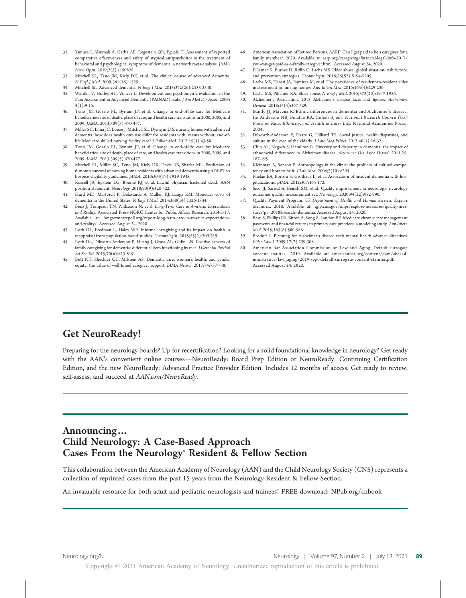- 32. Yunusa I, Alsumali A, Garba AE, Regestein QR, Eguale T. Assessment of reported comparative effectiveness and safety of atypical antipsychotics in the treatment of behavioral and psychological symptoms of dementia: a network meta-analysis. JAMA Netw Open. 2019;2(3):e190828.
- 33. Mitchell SL, Teno JM, Kiely DK, et al. The clinical course of advanced dementia. N Engl J Med. 2009;361(16):1529.
- 34. Mitchell SL. Advanced dementia. N Engl J Med. 2015;372(26):2533-2540.
- 35. Warden V, Hurley AC, Volicer L. Development and psychometric evaluation of the Pain Assessment in Advanced Dementia (PAINAD) scale. J Am Med Dir Assoc. 2003;  $4(1):9-15.$
- 36. Teno JM, Gozalo PL, Bynum JP, et al. Change in end-of-life care for Medicare beneficiaries: site of death, place of care, and health care transitions in 2000, 2005, and 2009. JAMA. 2013;309(5):470-477.
- 37. Miller SC, Lima JC, Looze J, Mitchell SL. Dying in U.S. nursing homes with advanced dementia: how does health care use differ for residents with, versus without, end-oflife Medicare skilled nursing facility care? J Palliat Med. 2012;15(1):43-50.
- Teno JM, Gozalo PL, Bynum JP, et al. Change in end-of-life care for Medicare beneficiaries: site of death, place of care, and health care transitions in 2000, 2005, and 2009. JAMA. 2013;309(5):470-477.
- 39. Mitchell SL, Miller SC, Teno JM, Kiely DK, Davis RB, Shaffer ML. Prediction of 6-month survival of nursing home residents with advanced dementia using ADEPT vs hospice eligibility guidelines. JAMA. 2010;304(17):1929-1935.
- 40. Russell JA, Epstein LG, Bonnie RJ, et al. Lawful physician-hastened death AAN position statement. Neurology. 2018;90(9):420-422.
- 41. Hurd MD, Martorell P, Delavande A, Mullen KJ, Langa KM. Monetary costs of dementia in the United States. N Engl J Med. 2013;368(14):1326-1334.
- 42. Benz J, Tompson TN, Willcoxon N, et al. Long-Term Care in America: Expectations and Reality. Associated Press-NORC Center for Public Affairs Research. 2014:1-17. Available at: [longtermcarepoll.org/report-long-term-care-in-america-expectations](https://www.longtermcarepoll.org/report-long-term-care-in-america-expectations-and-reality/)[and-reality/](https://www.longtermcarepoll.org/report-long-term-care-in-america-expectations-and-reality/). Accessed August 24, 2020.
- 43. Roth DL, Fredman L, Haley WE. Informal caregiving and its impact on health: a reappraisal from population-based studies. Gerontologist. 2015;55(2):309-319.
- 44. Roth DL, Dilworth-Anderson P, Huang J, Gross AL, Gitlin LN. Positive aspects of family caregiving for dementia: differential item functioning by race. J Gerontol Psychol Sci Soc Sci. 2015;70(6):813-819.
- 45. Bott NT, Sheckter CC, Milstein AS. Dementia care, women's health, and gender equity: the value of well-timed caregiver support. JAMA Neurol. 2017;74:757-758.
- 46. American Association of Retired Persons. AARP. Can I get paid to be a caregiver for a family member?. 2020. Available at: aarp.org/caregiving/fi[nancial-legal/info-2017/](https://www.aarp.org/caregiving/financial-legal/info-2017/you-can-get-paid-as-a-family-caregiver.html) [you-can-get-paid-as-a-family-caregiver.html](https://www.aarp.org/caregiving/financial-legal/info-2017/you-can-get-paid-as-a-family-caregiver.html). Accessed August 24, 2020.
- 47. Pillemer K, Burnes D, Riffin C, Lachs MS. Elder abuse: global situation, risk factors, and prevention strategies. Gerontologist. 2016;56(S2):S194-S205.
- 48. Lachs MS, Teresi JA, Ramirez M, et al. The prevalence of resident-to-resident elder mistreatment in nursing homes. Ann Intern Med. 2016;165(4):229-236.
- 49. Lachs MS, Pillemer KA. Elder abuse. N Engl J Med. 2015;373(20):1947-1956.
- 50. Alzheimer's Association. 2018 Alzheimer's disease facts and figures. Alzheimers Dement. 2018;14(3):367-429.
- 51. Manly JJ, Mayeux R. Ethnic differences in dementia and Alzheimer's disease. In: Anderson NB, Bulatao RA, Cohen B, eds. National Research Council (US) Panel on Race, Ethnicity, and Health in Later Life. National Academies Press;. 2004.
- 52. Dilworth-Anderson P, Pierre G, Hilliard TS. Social justice, health disparities, and culture in the care of the elderly. J Law Med Ethics. 2012;40(1):26-32.
- 53. Chin AL, Negash S, Hamilton R. Diversity and disparity in dementia: the impact of ethnoracial differences in Alzheimer disease. Alzheimer Dis Assoc Disord. 2011;25: 187-195.
- 54. Kleinman A, Benson P. Anthropology in the clinic: the problem of cultural competency and how to fix it. PLoS Med. 2006;3(10):e294.
- 55. Phelan EA, Borson S, Grothaus L, et al. Association of incident dementia with hospitalizations. JAMA. 2012;307:165-172.
- 56. Sico JJ, Sarwal A, Benish SM, et al. Quality improvement in neurology: neurology outcomes quality measurement set. Neurology. 2020;94(22):982-990.
- 57. Quality Payment Program. US Department of Health and Human Services. Explore Measures.. 2018. Available at: [qpp.cms.gov/mips/explore-measures/quality-mea](https://qpp.cms.gov/mips/explore-measures/quality-measures?py=2018&search=dementia)[sures?py=2018&search=dementia](https://qpp.cms.gov/mips/explore-measures/quality-measures?py=2018&search=dementia). Accessed August 24, 2020.
- 58. Basu S, Phillips RS, Bitton A, Song Z, Landon BE. Medicare chronic care management payments and financial returns to primary care practices: a modeling study. Ann Intern Med. 2015;163(8):580-588.
- 59. Brodoff L. Planning for Alzheimer's disease with mental health advance directives. Elder Law J. 2009;17(2):239-308.
- 60. American Bar Association Commission on Law and Aging. Default surrogate consent statutes.. 2019. Available at: [americanbar.org/content/dam/aba/ad-](https://www.americanbar.org/content/dam/aba/administrative/law_aging/2019-sept-default-surrogate-consent-statutes.pdf) $\emph{ministrative/law\_aging/2019-sept-default-surrogate-consent-statutes.pdf}.$ Accessed August 24, 2020.

# Get NeuroReady!

Preparing for the neurology boards? Up for recertification? Looking for a solid foundational knowledge in neurology? Get ready with the AAN's convenient online courses—NeuroReady: Board Prep Edition or NeuroReady: Continuing Certification Edition, and the new NeuroReady: Advanced Practice Provider Edition. Includes 12 months of access. Get ready to review, self-assess, and succeed at AAN.com/NeuroReady.

# Announcing… Child Neurology: A Case-Based Approach Cases From the Neurology® Resident & Fellow Section

This collaboration between the American Academy of Neurology (AAN) and the Child Neurology Society (CNS) represents a collection of reprinted cases from the past 15 years from the Neurology Resident & Fellow Section.

An invaluable resource for both adult and pediatric neurologists and trainees! FREE download: NPub.org/cnbook